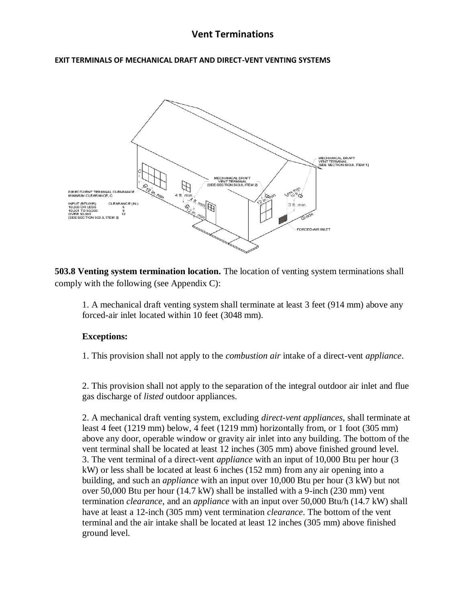## **EXIT TERMINALS OF MECHANICAL DRAFT AND DIRECT-VENT VENTING SYSTEMS**



**503.8 Venting system termination location.** The location of venting system terminations shall comply with the following (see Appendix C):

1. A mechanical draft venting system shall terminate at least 3 feet (914 mm) above any forced-air inlet located within 10 feet (3048 mm).

## **Exceptions:**

1. This provision shall not apply to the *combustion air* intake of a direct-vent *appliance*.

2. This provision shall not apply to the separation of the integral outdoor air inlet and flue gas discharge of *listed* outdoor appliances.

2. A mechanical draft venting system, excluding *direct-vent appliances*, shall terminate at least 4 feet (1219 mm) below, 4 feet (1219 mm) horizontally from, or 1 foot (305 mm) above any door, operable window or gravity air inlet into any building. The bottom of the vent terminal shall be located at least 12 inches (305 mm) above finished ground level. 3. The vent terminal of a direct-vent *appliance* with an input of 10,000 Btu per hour (3 kW) or less shall be located at least 6 inches (152 mm) from any air opening into a building, and such an *appliance* with an input over 10,000 Btu per hour (3 kW) but not over 50,000 Btu per hour (14.7 kW) shall be installed with a 9-inch (230 mm) vent termination *clearance*, and an *appliance* with an input over 50,000 Btu/h (14.7 kW) shall have at least a 12-inch (305 mm) vent termination *clearance*. The bottom of the vent terminal and the air intake shall be located at least 12 inches (305 mm) above finished ground level.